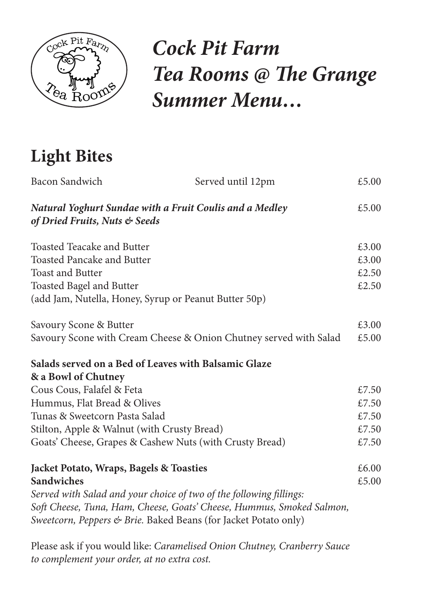

## *Cock Pit Farm Tea Rooms @ The Grange Summer Menu…*

## **Light Bites**

| Bacon Sandwich                                                                                           | Served until 12pm                                                     | £5.00 |
|----------------------------------------------------------------------------------------------------------|-----------------------------------------------------------------------|-------|
| <b>Natural Yoghurt Sundae with a Fruit Coulis and a Medley</b><br>£5.00<br>of Dried Fruits, Nuts & Seeds |                                                                       |       |
| <b>Toasted Teacake and Butter</b>                                                                        |                                                                       | £3.00 |
| <b>Toasted Pancake and Butter</b>                                                                        |                                                                       | £3.00 |
| <b>Toast and Butter</b>                                                                                  |                                                                       | £2.50 |
| <b>Toasted Bagel and Butter</b>                                                                          |                                                                       | £2.50 |
| (add Jam, Nutella, Honey, Syrup or Peanut Butter 50p)                                                    |                                                                       |       |
| Savoury Scone & Butter                                                                                   |                                                                       | £3.00 |
| Savoury Scone with Cream Cheese & Onion Chutney served with Salad                                        |                                                                       | £5.00 |
| Salads served on a Bed of Leaves with Balsamic Glaze                                                     |                                                                       |       |
| & a Bowl of Chutney                                                                                      |                                                                       |       |
| Cous Cous, Falafel & Feta                                                                                |                                                                       | £7.50 |
| Hummus, Flat Bread & Olives                                                                              |                                                                       | £7.50 |
| Tunas & Sweetcorn Pasta Salad                                                                            |                                                                       | £7.50 |
| Stilton, Apple & Walnut (with Crusty Bread)                                                              |                                                                       | £7.50 |
| Goats' Cheese, Grapes & Cashew Nuts (with Crusty Bread)                                                  |                                                                       | £7.50 |
| <b>Jacket Potato, Wraps, Bagels &amp; Toasties</b>                                                       |                                                                       | £6.00 |
| <b>Sandwiches</b>                                                                                        |                                                                       | £5.00 |
| Served with Salad and your choice of two of the following fillings:                                      |                                                                       |       |
| Sweetcorn, Peppers & Brie. Baked Beans (for Jacket Potato only)                                          | Soft Cheese, Tuna, Ham, Cheese, Goats' Cheese, Hummus, Smoked Salmon, |       |
|                                                                                                          |                                                                       |       |

Please ask if you would like: *Caramelised Onion Chutney, Cranberry Sauce to complement your order, at no extra cost.*